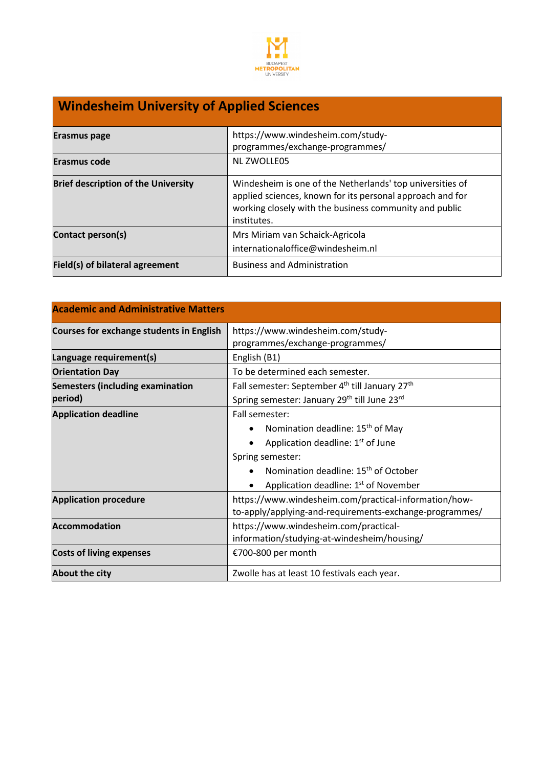

# **Windesheim University of Applied Sciences**

| Erasmus page                               | https://www.windesheim.com/study-<br>programmes/exchange-programmes/                                                                                                                            |  |  |
|--------------------------------------------|-------------------------------------------------------------------------------------------------------------------------------------------------------------------------------------------------|--|--|
| Erasmus code                               | <b>NL ZWOLLE05</b>                                                                                                                                                                              |  |  |
| <b>Brief description of the University</b> | Windesheim is one of the Netherlands' top universities of<br>applied sciences, known for its personal approach and for<br>working closely with the business community and public<br>institutes. |  |  |
| Contact person(s)                          | Mrs Miriam van Schaick-Agricola<br>internationaloffice@windesheim.nl                                                                                                                            |  |  |
| Field(s) of bilateral agreement            | <b>Business and Administration</b>                                                                                                                                                              |  |  |

| <b>Academic and Administrative Matters</b> |                                                                                                                  |  |  |  |
|--------------------------------------------|------------------------------------------------------------------------------------------------------------------|--|--|--|
| Courses for exchange students in English   | https://www.windesheim.com/study-<br>programmes/exchange-programmes/                                             |  |  |  |
| Language requirement(s)                    | English (B1)                                                                                                     |  |  |  |
| <b>Orientation Day</b>                     | To be determined each semester.                                                                                  |  |  |  |
| <b>Semesters (including examination</b>    | Fall semester: September 4th till January 27th                                                                   |  |  |  |
| period)                                    | Spring semester: January 29 <sup>th</sup> till June 23 <sup>rd</sup>                                             |  |  |  |
| <b>Application deadline</b>                | Fall semester:                                                                                                   |  |  |  |
|                                            | Nomination deadline: 15 <sup>th</sup> of May                                                                     |  |  |  |
|                                            | Application deadline: 1 <sup>st</sup> of June                                                                    |  |  |  |
|                                            | Spring semester:                                                                                                 |  |  |  |
|                                            | Nomination deadline: 15 <sup>th</sup> of October                                                                 |  |  |  |
|                                            | Application deadline: 1 <sup>st</sup> of November                                                                |  |  |  |
| <b>Application procedure</b>               | https://www.windesheim.com/practical-information/how-<br>to-apply/applying-and-requirements-exchange-programmes/ |  |  |  |
| <b>Accommodation</b>                       | https://www.windesheim.com/practical-                                                                            |  |  |  |
|                                            | information/studying-at-windesheim/housing/                                                                      |  |  |  |
| <b>Costs of living expenses</b>            | €700-800 per month                                                                                               |  |  |  |
| About the city                             | Zwolle has at least 10 festivals each year.                                                                      |  |  |  |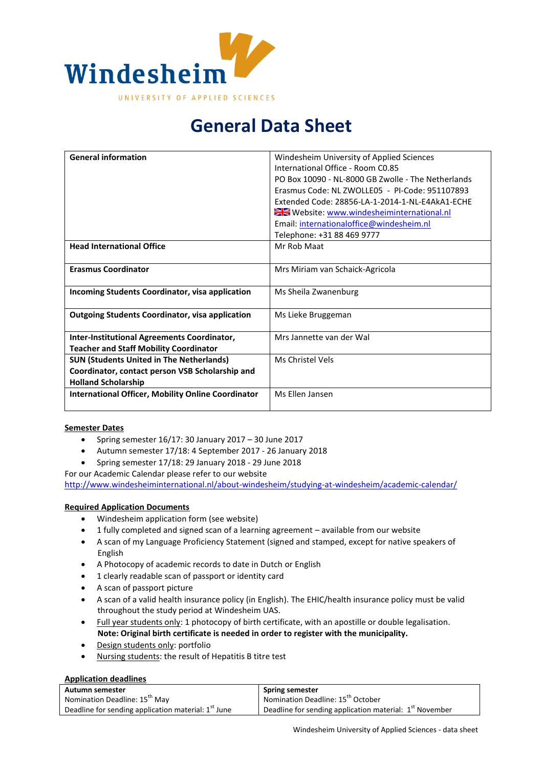

# **General Data Sheet**

| <b>General information</b>                                | Windesheim University of Applied Sciences          |  |
|-----------------------------------------------------------|----------------------------------------------------|--|
|                                                           | International Office - Room CO.85                  |  |
|                                                           | PO Box 10090 - NL-8000 GB Zwolle - The Netherlands |  |
|                                                           | Erasmus Code: NL ZWOLLE05 - PI-Code: 951107893     |  |
|                                                           | Extended Code: 28856-LA-1-2014-1-NL-E4AkA1-ECHE    |  |
|                                                           | Website: www.windesheiminternational.nl            |  |
|                                                           | Email: internationaloffice@windesheim.nl           |  |
|                                                           | Telephone: +31 88 469 9777                         |  |
| <b>Head International Office</b>                          | Mr Rob Maat                                        |  |
|                                                           |                                                    |  |
| <b>Erasmus Coordinator</b>                                | Mrs Miriam van Schaick-Agricola                    |  |
|                                                           |                                                    |  |
| Incoming Students Coordinator, visa application           | Ms Sheila Zwanenburg                               |  |
|                                                           |                                                    |  |
| <b>Outgoing Students Coordinator, visa application</b>    | Ms Lieke Bruggeman                                 |  |
|                                                           |                                                    |  |
| Inter-Institutional Agreements Coordinator,               | Mrs Jannette van der Wal                           |  |
| <b>Teacher and Staff Mobility Coordinator</b>             |                                                    |  |
| <b>SUN (Students United in The Netherlands)</b>           | Ms Christel Vels                                   |  |
| Coordinator, contact person VSB Scholarship and           |                                                    |  |
| <b>Holland Scholarship</b>                                |                                                    |  |
| <b>International Officer, Mobility Online Coordinator</b> | Ms Ellen Jansen                                    |  |
|                                                           |                                                    |  |

## **Semester Dates**

- Spring semester  $16/17$ : 30 January 2017 30 June 2017
- Autumn semester 17/18: 4 September 2017 26 January 2018
- Spring semester 17/18: 29 January 2018 29 June 2018

For our Academic Calendar please refer to our website

<http://www.windesheiminternational.nl/about-windesheim/studying-at-windesheim/academic-calendar/>

## **Required Application Documents**

- Windesheim application form (see website)
- 1 fully completed and signed scan of a learning agreement available from our website
- A scan of my Language Proficiency Statement (signed and stamped, except for native speakers of English
- A Photocopy of academic records to date in Dutch or English
- 1 clearly readable scan of passport or identity card
- A scan of passport picture
- A scan of a valid health insurance policy (in English). The EHIC/health insurance policy must be valid throughout the study period at Windesheim UAS.
- Full year students only: 1 photocopy of birth certificate, with an apostille or double legalisation. **Note: Original birth certificate is needed in order to register with the municipality.**
- Design students only: portfolio
- Nursing students: the result of Hepatitis B titre test

# **Application deadlines**

| Autumn semester                                       | <b>Spring semester</b>                                                            |
|-------------------------------------------------------|-----------------------------------------------------------------------------------|
| Nomination Deadline: 15 <sup>th</sup> May             | Nomination Deadline: 15 <sup>th</sup> October                                     |
| Deadline for sending application material: $1st$ June | $\frac{1}{2}$ Deadline for sending application material: 1 <sup>st</sup> November |